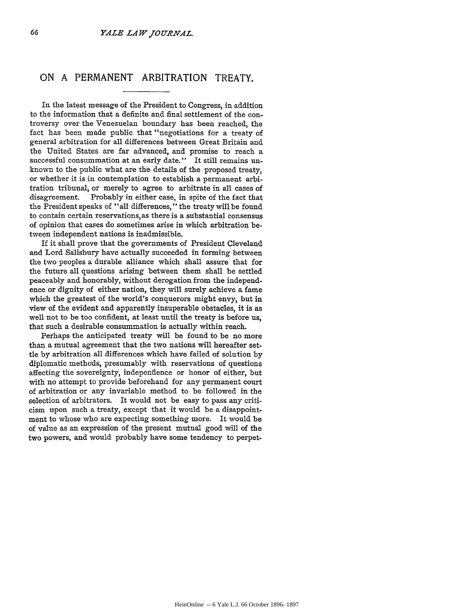## ON A **PERMANENT ARBITRATION TREATY.**

In the latest message of the President to Congress, in addition to the information that a definite and final settlement of the controversy over the Venezuelan boundary has been reached, the fact has been made public that "negotiations for a treaty of general arbitration for all differences between Great Britain and the United States are far advanced, and promise to reach a successful consummation at an early date." It still remains unknown to the public what are the details of the proposed treaty, or whether it is in contemplation to establish a permanent arbitration tribunal, or merely to agree to arbitrate in all cases of disagreement. Probably in either case, in spite of the fact that the President speaks of ''all differences,'' the treaty will be found to contain certain reservations,as there is a substantial consensus of opinion that cases do sometimes arise in which arbitration between independent nations is inadmissible.

If it shall prove that the governments of President Cleveland and Lord Salisbury have actually succeeded in forming between the two peoples a durable alliance which shall assure that for the future all questions arising between them shall be settled peaceably and honorably, without derogation from the independence or dignity of either nation, they will surely achieve a fame which the greatest of the world's conquerors might envy, but in view of the evident and apparently insuperable obstacles, it is as well not to be too confident, at least until the treaty is before us, that such a desirable consummation is actually within reach.

Perhaps the anticipated treaty will be found to be no more than a mutual agreement that the two nations will hereafter settle by arbitration all differences which have failed of solution by diplomatic methods, presumably with reservations of questions affecting the sovereignty, indepentlence or honor of either, but with no attempt to provide beforehand for any permanent court of arbitration or any invariable method to be followed in the selection of arbitrators. It would not be easy to pass any criticism upon such a treaty, except that it would be a disappointment to whose who are expecting something more. It would be of value as an expression of the present mutual good will of the two powers, and would probably have some tendency to perpet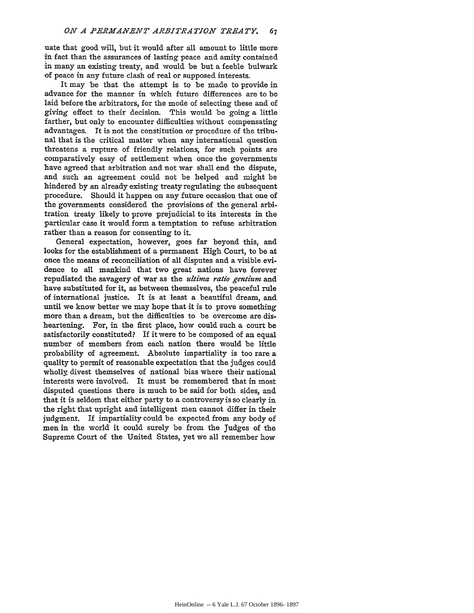uate that good will, but it would after all amount to little more in fact than the assurances of lasting peace and amity contained in many an existing treaty, and would be but a feeble bulwark of peace in any future clash of real or supposed interests.

It may be that the attempt is to be made to provide in advance for the manner in which future differences are to be laid before the arbitrators, for the mode of selecting these and of giving effect to their decision. This would be going a little farther, but only to encounter difficulties without compensating advantages. It is not the constitution or procedure of the tribunal that is the critical matter when any international question threatens a rupture of friendly relations, for such points are comparatively easy of settlement when once the governments have agreed that arbitration and not war shall end the dispute, and such an agreement could not be helped and might be hindered by an already existing treaty regulating the subsequent procedure. Should it happen on any future occasion that one of the governments considered the provisions of the general arbitration treaty likely to prove prejudicial to its interests in the particular case it would form a temptation to refuse arbitration rather than a reason for consenting to it.

General expectation, however, goes far beyond this, and looks for the establishment of a permanent High Court, to be at once the means of reconciliation of all disputes and a visible evidence to all mankind that two great nations have forever repudiated the savagery of war as the *ultima ratio gentium* and have substituted for it, as between themselves, the peaceful rule of international justice. It is at least a beautiful dream, and until we know better we may hope that it is to prove something more than a dream, but the difficulties to be overcome are disheartening. For, in the first place, how could such a court be satisfactorily constituted? If it were to be composed of an equal number of members from each nation there would be little probability of agreement. Absolute impartiality is too rare- a quality to permit of reasonable expectation that the judges could wholly divest themselves of national bias where their national interests were involved. It must be remembered that in most disputed questions there is much to be said for both sides, and that it is seldom that either party to a controversy is so clearly in the right that upright and intelligent men cannot differ in their judgment. If impartiality could be expected from any body of men in the world it could surely be from the Judges of the Supreme Court of the United States, yet we all remember how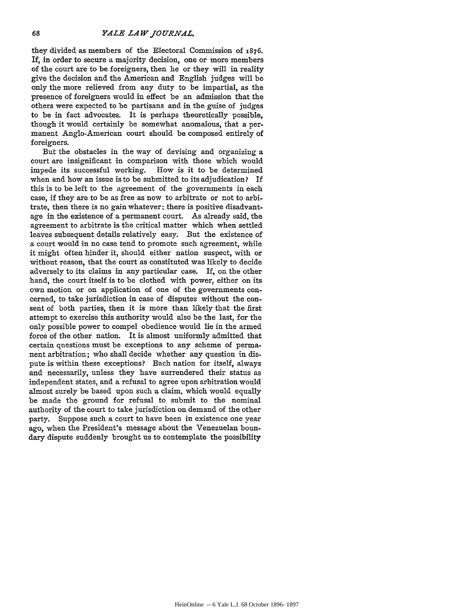they divided as members of the Electoral Commission of 1876. If, in order to secure a majority decision, one or more members of the court are to be foreigners, then he or they will in reality give the decision and the American and English judges will be only the more relieved from any duty to be impartial, as the presence of foreigners would in effect be an admission that the others were expected to be partisans and in the guise of judges to be in fact advocates. It is perhaps theoretically possible, though it would certainly be somewhat anomalous, that a permanent Anglo-American court should be composed entirely of foreigners.

But the obstacles in the way of devising and organizing a court are insignificant in comparison with those which would impede its successful working. How is it to be determined when and how an issue is to be submitted to its adjudication? If this is to be left to the agreement of the governments in each case, if they are to be as free as now to arbitrate or not to arbitrate, then there is no gain whatever; there is positive disadvantage in the existence of a permanent court. As already said, the agreement to arbitrate is the critical matter which when settled leaves subsequent details relatively easy. But the existence of a court would in no case tend to promote such agreement, while it might often hinder it, should either nation suspect, with or without reason, that the court as constituted was likely to decide adversely to its claims in any particular case. If, on the other hand, the court itself is to be clothed with power, either on its own motion or on application of one of the governments concerned, to take jurisdiction in case of disputes without the consent of both parties, then it is more than likely that the first attempt to exercise this authority would also be the last, for the only possible power to compel obedience would lie in the armed force of the other nation. It is almost uniformly admitted that certain questions must be exceptions to any scheme of permanent arbitration; who shall decide whether any question in dispute is within these exceptions? Each nation for itself, always and necessarily, unless they have surrendered their status as independent states, and a refusal to agree upon arbitration would almost surely be based upon such a claim, which would equally be made the ground for refusal to submit to the nominal authority of the court to take jurisdiction on demand of the other party. Suppose such a court to have been in existence one year ago, when the President's message about the Venezuelan boundary dispute suddenly brought us to contemplate the possibility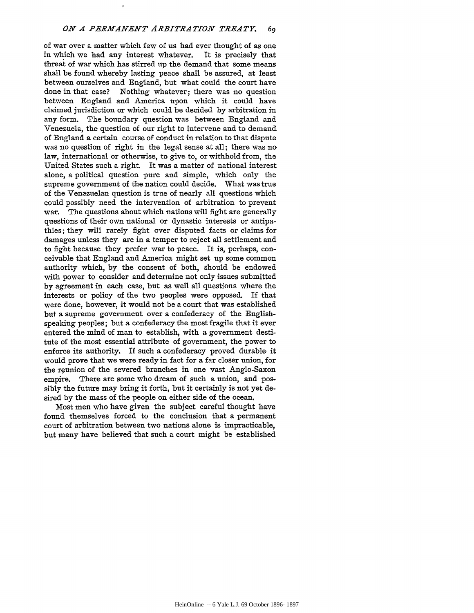of war over a matter which few of us had ever thought of as one in which we had any interest whatever. It is precisely that threat of war which has stirred up the demand that some means shall be found whereby lasting peace shall be assured, at teast between ourselves and England, but what could the court have done in that case? Nothing whatever; there was no question between England and America upon which it could have claimed jurisdiction or which could be decided by arbitration in any form. The boundary question was between England and Venezuela, the question of our right to intervene and to demand of England a certain course of conduct in relation to that dispute was no question of right in the legal sense at all; there was no law, international or otherwise, to give to, or withhold from, the United States such a right. It was a matter of national interest alone, a political question pure and simple, which only the supreme government of the nation could decide. What was true of the Venezuelan question is true of nearly all questions which could possibly need the intervention of arbitration to prevent war. The questions about which nations will fight are generally questions of their own national or dynastic interests or antipathies; they will rarely fight over disputed facts or claims for damages unless they are in a temper to reject all settlement and to fight because they prefer war to peace. It is, perhaps, conceivable that England and America might set up some common authority which, by the consent of both, should be endowed with power to consider and determine not only issues submitted by agreement in each case, but as well all questions where the interests or policy of the two peoples were opposed. If that were done, however, it would not be a court that was established but a supreme government over a confederacy of the Englishspeaking peoples; but a confederacy the most fragile that it ever entered the mind of man to establish, with a government destitute of the most essential attribute of government, the power to enforce its authority. If such a confederacy proved durable it would prove that we were ready in fact for a far closer union, for the reunion of the severed branches in one vast Anglo-Saxon empire. There are some who dream of such a union, and possibly the future may bring it forth, but it certainly is not yet desired by the mass of the people on either side of the ocean.

Most men who have given the subject careful thought have found themselves forced to the conclusion that a permanent court of arbitration between two nations alone is impracticable, but many have believed that such a court might be established